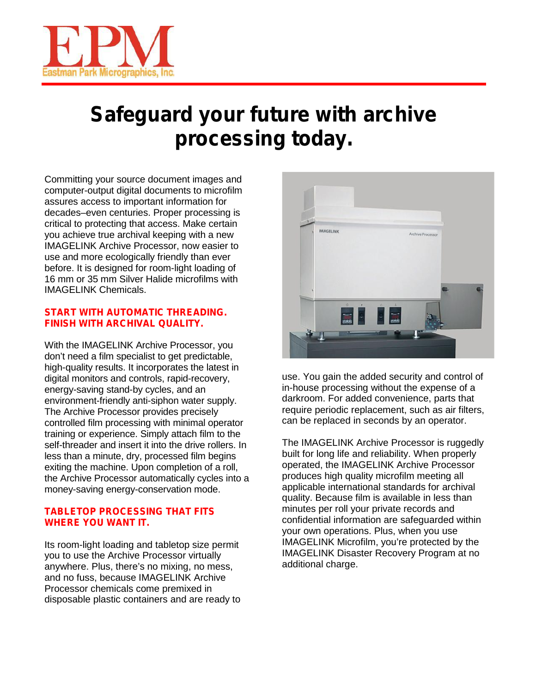

## **Safeguard your future with archive processing today.**

Committing your source document images and computer-output digital documents to microfilm assures access to important information for decades–even centuries. Proper processing is critical to protecting that access. Make certain you achieve true archival keeping with a new IMAGELINK Archive Processor, now easier to use and more ecologically friendly than ever before. It is designed for room-light loading of 16 mm or 35 mm Silver Halide microfilms with IMAGELINK Chemicals.

#### **START WITH AUTOMATIC THREADING. FINISH WITH ARCHIVAL QUALITY.**

With the IMAGELINK Archive Processor, you don't need a film specialist to get predictable, high-quality results. It incorporates the latest in digital monitors and controls, rapid-recovery, energy-saving stand-by cycles, and an environment-friendly anti-siphon water supply. The Archive Processor provides precisely controlled film processing with minimal operator training or experience. Simply attach film to the self-threader and insert it into the drive rollers. In less than a minute, dry, processed film begins exiting the machine. Upon completion of a roll, the Archive Processor automatically cycles into a money-saving energy-conservation mode.

#### **TABLETOP PROCESSING THAT FITS WHERE YOU WANT IT.**

Its room-light loading and tabletop size permit you to use the Archive Processor virtually anywhere. Plus, there's no mixing, no mess, and no fuss, because IMAGELINK Archive Processor chemicals come premixed in disposable plastic containers and are ready to



use. You gain the added security and control of in-house processing without the expense of a darkroom. For added convenience, parts that require periodic replacement, such as air filters, can be replaced in seconds by an operator.

The IMAGELINK Archive Processor is ruggedly built for long life and reliability. When properly operated, the IMAGELINK Archive Processor produces high quality microfilm meeting all applicable international standards for archival quality. Because film is available in less than minutes per roll your private records and confidential information are safeguarded within your own operations. Plus, when you use IMAGELINK Microfilm, you're protected by the IMAGELINK Disaster Recovery Program at no additional charge.